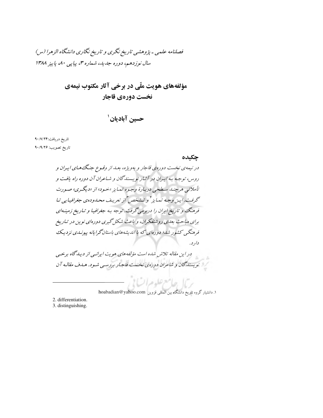فصلنامه علمی - پژوهشی تاریخ نگری و تاریخ نگاری دانشگاه الزهرا (س) سال نوزدهم، دوره جدید، شماره ۳، پیاپی ۸۰، پاییز ۱۳۸۸

> مؤلفههاي هويت ملّى در برخي آثار مكتوب نيمهي نخست دورهي قاجار

> > حسين آباديان '

تاريخ دريافت:۰/۷/۲۴ تاريخ تصويب: ٩٠/٩/٢۶

حكىدە

در نیمهی نخست دورهی قاجار و بهویژه، بعـداز وقـوع جنگ هـای ایـران و روس، توجه به ایپران در آثبار نویسندگان و شاعران آن دوره راه یافت و .<br>ناملاتی هرچنید میبلند به طبیعی دربارهٔ وجیوه تبدایز «خیود» از «دیگیری» صبورت گرفت.این وجه تبدایز <sup>۲</sup> و تشخص <sup>۲</sup>از تعریف م*حیدوده*ی جغرافیایی تبا فرهنگ و تاریخ ایران را دربرمی گرفت. توجه به جغرافیا و تیاریخ زمینهای برای مباحث بعلهی روشنفکران، و باعث شکل گیری دورهای نوین در تباریخ فرهنگجی کشور شای؛ دورهای که ما اندیشههای باستان گرایانه پیونیدی نز دیک دار د. در این مقاله تلاش شده است مؤلفههای هویت ایرانسی از دیباگاه برخسی استویسندگان و شاعران دورهی نخست قاجار بررسپی شود. هدف مقالبه آن

١. دانشيار گروه تاريخ دانشگاه بين المللي قزوين hoabadian@yahoo.com

ريمان حامع علوم السابي

2. differentiation. 3. distinguishing.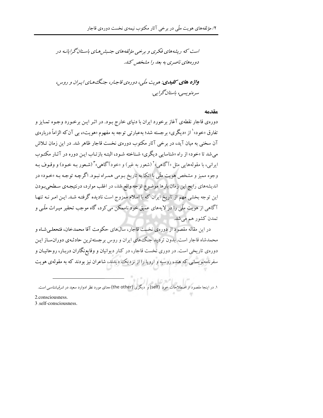است که د پشه های فکری و پرخپر مؤلفه های جنسش هبای باستان گرایانیه در دورههای ناصری به بعد را مشخص کند.

**واژه های کلیدی:** هویت ملّی، دورهی قاجار، جنگ هـای ایـران و روس، سرەنوپسى، باستان گراپى.

مقدمه

دورهي قاجار نقطهي آغاز برخورد ايران با دنياي خارج بـود. در اثـر ايـن برخـورد وجـوه تمـايز و تفارق «خود»<sup>۱</sup> از «دیگری» برجسته شد؛ بهعبارتی توجه به مفهوم «هویت»، بی آن که الزاماً دربارهی آن سخنی به مبان آید، در برخی آثار مکتوب دورهی نخست قاجار ظاهر شد. در این زمان تـلاش می شد تا «خود» از راه «شناسایی دیگری» شـناخته شـود، البتـه بازتـاب ایـن دوره در آثـار مکتـوب ايراني، با مقولههايي مثل «آگاهي»<sup>٬</sup> (شعور به غير) و «خودآگاهي»<sup>۳</sup> (شـعور بـه خـود) و وقـوف بـه وجوه مميز و مشخص هويت ملّى با اتكا به تاريخ بـومي همـراه نبـود. اگرچـه توجـه بـه «خـود» در اندیشههای رایج این زمان بارها موضوع توجه واقع شد، در اغلب موارد، درنتیجـهی سـطحیبـودن این توجه بخشی مهم از تاریخ ایران که با اسلام ممزوج است نادیده گرفتـه شـد. ایـن امـر نـه تنهـا آگاهي از هويت ملّي را در لايههاي عميق خود ناممکن مي کرد، گاه موجب تحقير ميـراث ملّـي و تمدن کشور هم می شد.

در این مقاله مقصود از دورهی نخست قاجار، سالهای حکومت آقا محمدخان، فتحعلـی شـاه و محمدشاه قاجار است. بدون تردید جنگ های ایران و روس برجسته ترین حادثـهی دوران سـاز ایـن دورهی تاریخی است. در دوری نخست قاجار، در کنار دیوانیان و وقایع;نگاران دربـار، روحانیـان و سفرنامهنویسانی که هند، روسیه و اروپا را از نزدیک دیدند، شاعران نیز بودند که به مقولهی هویت

3 .self-consciousness.

۱. در اینجا مقصود از اصطلاحات خود (self) و دیگری (the other) معنای مورد نظر ادوارد سعید در *شرق شناسی* است.

<sup>2.</sup>consciousness.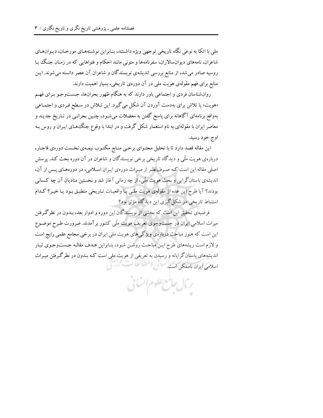ملي با اتکا به نوعي نگاه تاريخي توجهي ويژه داشتند، بنـابراين نوشـتههـاي مورخـان، ديـوانهـاي شاعران، نامههای دیوانسالاران، سفرنامهها و متونی مانند احکام و فتواهایی که در زمـان جنگ بـا روسیه صادر می شد، از منابع بررسی اندیشهی نویسندگان و شاعران آن عصر دانسته می شوند. ایـن منابع برای فهم مقولهی هویت ملی در آن دورهی تاریخی، بسیار اهمیت دارند.

روانشناسان فردی و اجتماعی باور دارند که به هنگام ظهور بحرانها، جـستوجـو بـرای فهـم «هویت» یا تلاش برای بهدست آوردن آن شکل میگیرد. این تـلاش در سـطح فـردی و اجتمـاعی بهواقع برنامهای آگاهانه برای پاسخ گفتن به معضلات میشـود، چنـین بحرانـی در تـاریخ جدیـد و معاصر ایران با مقولهای به نام استعمار شکل گرفت و در ابتدا با وقوع جنگ هـای ایـران و روس بـه اوج خود رسيد.

این مقاله قصد دارد تا با تحلیل محتـوای برخـی منـابع مکتـوب نیمـهی نخـست دورهی قاجـار، دربارهی هویت ملّی و دیدگاه تاریخی برخی نویسندگان و شاعران در آن دوره بحث کند. پرسش اصلی مقاله این است کـه صـرف نظـر از میـراث دورهی ایـران اسـلامی، در دورههـای پـس از آن، اندیشهی باستانگرایی و بحث هویت ملّی، از چه زمانی آغاز شد و نخستین منادیان آن چه کـسانی بودند؟ آیا طرح این عده از مقولهی هویت ملبی بـا واقعیـات تـاریخی منطبـق بـود یـا خیـر؟ کـدام استنباط تاریخی در شکل گیری این دیدگاه مؤثر بود؟

فرضیهی تحقیق این است که بخشی از نویسندگان این دوره و ادوار بعد، بـدون در نظرگـرفتن میراث اسلامی ایران در جستوجوی تعریف هویت ملّی کشور برآمدند. ضرورت طـرح موضـوع این است که هنوز مباحث دربارهی ویژگیهای هویت ملی ایران در برخی مجامع علمی رایج است و لازم است ریشههای طرح این مباحث روشن شود، بنابراین هدف مقالـه جستوجـوی تبـار اندیشههای باستانگرایانه و رسیدن به تعریفی از هویت ملی است کـه بـدون در نظرگـرفتن میـراث اسلامی ایران ناممکن است. اسل و مطالع

رمال حامع علوم ال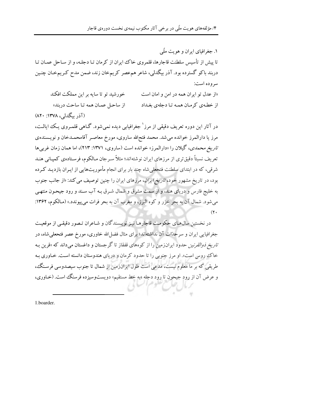۱. جغرافیای ایران و هویت ملّی تا پیش از تأسیس سلطنت قاجارها، قلمروی خاک ایران از کرمان تـا دجلـه، و از سـاحل عمــان تـا دربند باکو گسترده بود. آذر بیگدلی، شاعر همءصر کریمخان زند، ضمن مدح کـریمخـان چنـین سروده است: خورشید تو تا سایه بر این مملکت افکند «از عدل تو ایران همه در امن و امان است از ساحل عمان همه تا ساحت دربند» از خطهی کرمان همه تا دجلهی بغداد

(آذر سگدلی، ۱۳۷۸: ۸۲۰)

در آثار این دوره تعریف دقیقی از مرز ٰ جغرافیابی دیده نمیشود. گـاهی قلمـروی یـک ایالـت، مرز یا دارالمرز خوانده میشد. محمد فتحالله ساروی، مورخ معاصر آقامحمـدخان و نویـسنده، تاریخ محم*دی*، گیلان را «دارالمرز» خوانده است (ساروی، ۱۳۷۱: ۲۱۳)، اما همان زمان غربی ها تعریف نسبتاً دقیق تری از مرزهای ایران نوشتهاند؛ مثلاً سرجان مـالکوم، فرسـتادهی کمپـانی هنـد شرقی، که در ابتدای سلطنت فتحعلی شاه چند بار برای انجام مأموریتهایی از ایـران بازدیـد کـرده بود، در تاریخ مشهور خود، *تاریخ ایران*، مرزهای ایران را چنین توصیف می کند: «از جانب جنوب به خلیج فارس و دریای هند، و از سمت مشرق و شمال شـرق بـه آب سـند و رود جیحـون منتهـی می شود. شمال آن به بحر خزر و کوه البرز، و مغرب آن به بحر فرات می پیوندد.» (مـالکوم، ۱۳۶۲:  $(Y \cdot$ 

در نخستین سال@ای حکومت قاجارهـا نیـز نویـسندگان و شـاعران تـصور دقیقـی از موقعیـت جغرافیایی ایران و سرحلّات آن نداشتهاند؛ برای مثال فضل(لله خاوری، مورخ عصر فتحعلیشاه، در *تاریخ ذوالقرنین* حدود ایرانزمین را از کوههای قفقاز تا گرجستان و داغستان می داند که «قرین بـه خاک روس است». او مرز جنوبی را تا حدود کرمان و دریای هندوستان دانسته است. خـاوری بـه طریقی که بر ما معلوم نیست، مدعی است طول ایرانزمین از شمال تا جنوب سیصدوسی فرسنگ، و عرض آن از رود جیحون تا رود دجله «به خط مستقیم» دویستوسیزده فرسنگ است. (خـاوری،

1.boarder.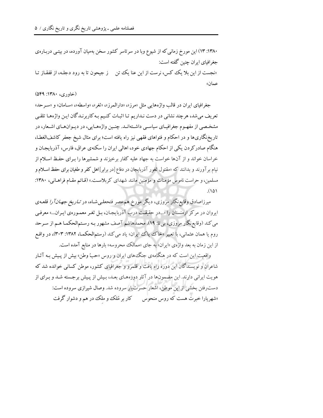۱۳۸۰: ۱۳) این مورخ زمانی که از شیوع وبا در سرتاسر کشور سخن بهمیان آورده، در بیتـی دربـاره $\circ$ جغرافیای ایران چنین گفته است: «نجست از این پلا یک کس، نرست از این عنا یک تن در جیحون تا به رود دجلـه، از قفقـاز تـا عمان»

#### (خاوری، ۱۳۸۰: ۵۴۹)

جغرافياي ايران در قالب واژههايي مثل «مرز»، «دارالمرز»، «ثغر»، «واسطه»، «سـامان» و «سـرحد» تعریف میشد، هرچند نشانی در دست نـداریم تـا اثبـات کنـیم بـهکاربرنـدگان ایـن واژههـا تلقـی مشخصی از مفهـوم جغرافیـای سیاسـی داشـتهانـد. چنـین واژههـایی، در دیـوانهـای اشـعار، در تاریخنگاریها و در احکام و فتواهای فقهی نیز راه یافته است؛ برای مثال شیخ جعفر کاشفالغطا، هنگام صادرکر دن یکی از احکام جهادی خود، اهالی ایران را سکنهی عراق، فارس، آذربایجـان و خراسان خواند و از آنها خواست به جهاد علیه کفار برخیزند و شمشیرها را بـرای حفـظ اسـلام از نیام بر آورند و بدانند که «مقتول ثغور آذربایجان در دفاع [در برابر]اهل کفر و طغیان برای حفظ اسلام و مسلمین، و حراست ناموس مؤمنات و مؤمنین مانند شهدای کربلاست.» (قـائم مقـام فراهـانی، ۱۳۸۰:  $(10)$ 

میرزاصادق وقایع;نگار مروزی، دیگر مورخ هم عصر فتحعلـیشـاه، در *تـاریخ جهـان7را* قلعـهی ایروان در مرکز ارمنستان را «...در حقیقت درب آذربایجان، بـل ثغـر معمـورهی ایـران...» معرفـی می کند (وقایع نگار مروزی، بی تا: ۱۹). محمدهاشم آصف مشهور بـه رسـتمالحکمـا هـم از سـرحد روم یا همان عثمانی، با تعبیر «خاک پاک ایران» یاد میکند (رستمالحکمـا، ۱۳۸۲: ۳۰۳)، در واقـع از این زمان به بعد واژهي «ایران» به جاي «ممالک محروسه» بارها در منابع آمده است.

واقعیت این است که در هنگامهی جنگ های ایران و روس «حبّ وطن» بیش از پیش بـه آثـار شاعران و نویسندگان این دوره راه یافت و قلمرو و جغرافیای کشور، موطن کسانی خوانده شد که هویت ایرانی دارند. این مضمونها در آثار دورههای بعـد، بـیش از پـیش برجسته شـد و بـرای از دست رفتن بخشی از این موطن، اشعار حسرت بار سروده شد. وصال شیرازی سروده است: «شهریارا خبرت هست که روس منحوس کار بر مُلک و ملک در هم و دشوار گرفت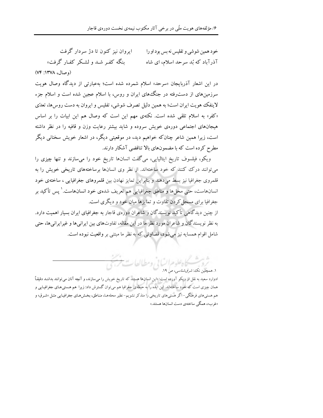ابروان نيز كنون تا دژ سردار گرفت خود همين شوشي و تفليس نه بس بود او را بنگه کف شـد و لشـکر کفـار گرفت» آذرآباد که بُد سرحد اسلام، ای شاه (وصال، ١٣٧٨: ٧۴)

در این اشعار آذربایجان «سرحد» اسلام شمرده شده است؛ بهعبارتی از دیدگاه وصال هویت سرزمینهای از دست رفته در جنگ های ایران و روس، با اسلام عجین شده است و اسلام جزء لاینفک هویت ایران است؛ به همین دلیل تصرف شوشی، تفلیس و ایروان به دست روس ها، تعدّی «کفر» به اسلام تلقی شده است. نکتهی مهم این است که وصال هم این ابیات را بر اساس هیجانهای اجتماعی دورهی خویش سروده و شاید بیشتر رعایت وزن و قافیه را در نظر داشته است، زیرا همین شاعر چنانکه خواهیم دید، در موقعیتی دیگر، در اشعار خویش سخنانی دیگر مطرح کرده است که با مضمونهای بالا تناقضی آشکار دارند.

ویکو، فیلسوف تاریخ ایتالیایی، میگفت انسانها تاریخ خود را میسازند و تنها چیزی را می توانند درک کنند که خود ساختهاند. از نظر وی انسانها برساختههای تاریخی خویش را به قلمروی جغرافیا نیز بسط میدهند و بنابراین تمایز نهادن بین قلمروهای جغرافیایی ، ساختهی خود انسانهاست، حتى محلها و مناطق جغرافيايي هم تعريف شدهى خود انسانهاست.' پس تأكيد بر جغرافیا برای مسجل کردن تفاوت و تمایزها میان خود و دیگری است.

از چنین دیدگاهی تأکید نویسندگان و شاعران دورهی قاجار به جغرافیای ایران بسیار اهمیت دارد. به نظر نویسندگان و شاعران مورد نظر ما در این مقاله، تفاوتهای بین ایرانیها و غیرایرانیها، حتی شامل اقوام همسایه نیز میشود، قضاوتی که به نظر ما مبتنی بر واقعیت نبوده است.

> بشسكاه علوم انساني ومطالعاء ۱. همچنین نک؛ *شرقشناسی، ص* ۱۹.

ادوارد سعید به نقل از ویکو آورده است: «این انسانها هستند که تاریخ خویش را میسازند، و آنچه آنان می توانند بداننـد دقیقـاً همان چیزی است که خود ساختهاند. این ایده را به حیطهی جغرافیا هم می توان گسترش داد: زیرا هم هستیهای جغرافیـایی و هم هستی های فرهنگی–اگر هستی های تاریخی را متذکر نشویم–نظیر محلههـا، منـاطق، بخـش٥حای جغرافیـایی مثـل «شـرق» و «غرب»، همگی ساختهی دست انسانها هستند.»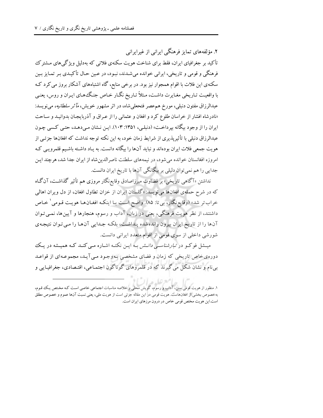۲. مؤلفههای تمایز فرهنگی ایرانی از غیرایرانی تأکید بر جغرافیای ایران، فقط برای شناخت هویت سکنهی فلاتی که بهدلیل ویژگیهای مـشترک فرهنگی و قومی و تاریخی، ایرانی خوانده میشدند، نبود، در عـین حـال تأکیـدی بـر تمـایز بـین سکنهی این فلات با اقوام همجوار نیز بود. در برخی منابع، گاه اشتباههای آشکار بروز می کرد کـه با واقعیت تـاریخی مغـایرت داشـت، مـثلاً تـاریخ نگـار خـاص جنـگـهـای ایـران و روس، یعنـی عبدالرزاق مفتون دنبلی، مورخ هم،عصر فتحعلیشاه، در اثر مشهور خویش، *مآ ثر سلطانیه،* میiویسد: «نادرشاه افشار از خراسان طلوع کرد و افغان و عثمانی را از عـراق و آذربایجـان بدوانیـد و سـاحت ایران را از وجود بیگانه بپرداخت» (دنبلبی، ۱۳۵۱: ۱۰۳). ایـن نـشان مـیدهـد، حتـبی کـسی چـون عبدالرزاق دنبلی با تأثیریذیری از شرایط زمان خود، به این نکته توجه نداشت که افغانها جزئبی از هويت جمعي فلات ايران بودهاند و نبايد آنها را بيگانه دانست. به يـاد داشـته باشـيـم قلمرويـي كـه امروزه افغانستان خوانده می شود، در نیمههای سلطنت ناصرالدین شاه از ایران جدا شد، هر چند ایـن جدایی را هم نمی توان دلیلی بر بیگانگی آنها با تاریخ ایران دانست.

نداشتن «آگاهی تاریخی» بر قضاوت میرزاصادق وقایع نگار مروزی هم تأثیر گذاشت، آن *گ*اه که در شرح حملهی افغانها می نویسد: «گلستان ایران از خزان تطاول افغان، از دل ویران اهالی خراب تر شد» (وقايع نگار، بي تا: ۸۵). واضح است بـا اينكـه افغـان هـا هويـت قـومي ` خـاص داشتند، از نظر هویت فرهنگی، یعنی در زبان، آداب و رسوم، هنجارها و آیینها، نمـی تـوان آنها را از تاریخ ایران بیرون راندهشده پنداشت، بلکه جدایی آنها را می توان نتیجهی شورشی داخلی از سوی قومی از اقوام متعدد ایرانی دانست.

میـشل فوکـو در *تبارشناسـی دانـش بـ*ه ایـن نکتـه اشـاره مـی کنـد کـه همیـشه در یـک دورهي خاص تاريخي كه زمان و فضاي مشخصي به وجـود مـي آيـد، مجموعـهاي از قواعـد بی نام و نشان شکل می گیرند که در قلمروهای گوناگون اجتمـاعی، اقتـصادی، جغرافیـایی و

۱. منظور از هویت قومی سنن، آداب و رسوم، گویش محلی و خلاصه مناسبات اجتماعی خاصی است کـه مخـتص یـک قـوم، بهخصوص بخشی از افغانهاست. هویت قومی در این مقاله جزئی است از هویت ملی، یعنی نسبت آنها عموم و خصوص مطلق است.این هویت مختص قومی خاص در درون مرزهای ایران است.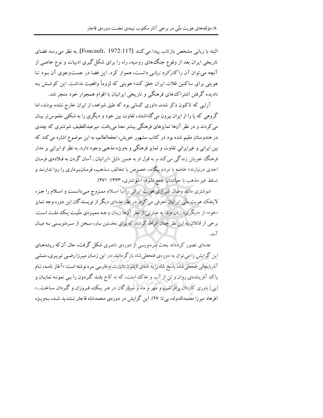البته با زبانی مشخص بازتاب پیدا می کنند (Foucault, 1972:117). به نظر می رسد فضای تاریخی ایران بعد از وقوع جنگ های روسیه، راه را برای شکل گیری ادبیات و نوع خاصی از آنچه می توان آن را *کار کرد زبانی* دانست، هموار کرد. این فضا در جست وجوی آن سود تبا هویتی برای ساکنین فلات ایران خلق کند؛ هویتی که لزوماً واقعیت نداشت. این کوشش بـه نادیده گرفتن اشتراک های فرهنگی و تاریخی ایرانیان با اقوام همجوار خود منجر شد.

آرایی که تاکنون ذکر شده، داوری کسانی بود که طبق شواهد، از ایران خارج نشده بودند، اما گروهی که یا را از ایران بیرون می گذاشتند، تفاوت بین خود و دیگری را به شکلی ملموس تر بیـان می کردند و در نظر آنها تمایزهای فرهنگی بیشتر معنا می یافت. میرعبداللطیف شوشتری که چندی در هندوستان مقیم شده بود در کتاب مشهور خویش، *تحفهالعالم*، به این موضوع اشاره می کند که بين ايراني و غيرايراني تفاوت و تمايز فرهنگي و بهويژه مذهبي وجود دارد. به نظر او ايراني بر مدار فرهنگ خويش زندگي مي كند و به قول او به همين دليل «ايرانيان...آسان گردن به قـلادهي فرمـان احدی درنیارند؛ خاصه با مردم بیگانه، خصوص با تخالف مـذهب، فرمـانبـرداری را روا ندارنـد و تسلط غير مذهب با حياتشان جمع نشود» (شوشتري، ١٣۶٣: ٢٧١).

شوشتری مانند وصال شیرازی هویت ایرانی را بـا اسـلام ممـزوج مـیدانـست و اسـلام را جـزء لاینفک هویت ملّی ایرانیان معرفی می کرد. در نظر عدهای دیگر از نویسندگان این دوره وجه تمایز «خود» از «دیگری» زبان بود، به عبارتی از نظر آنها زبـان وجـه ممیـزهی ملّیـت یـک ملـت اسـت. برخی از قائلان به این نظر چنان افراط کردند که برای نخستین بـار، سـخن از سـرەنویـسی بـه میـان آمد.

عدهای تصور کردهاند بحث سرهنویسی از دورهی ناصری شکل گرفت، حال آن که ریشههـای این گرایش را می توان به دورهی فتحعلی شاه بازگردانید. در این زمـان میـرزا رضـی تبریـزی، منـشی آذربایجانی فتحعلی شاه، پاسخ شاه را به نامهی ناپلئون بناپارت به فارسی سره نوشته است: «آغاز نامـه، نـام یاک آفرینندهی روان و تن از آب و خاک است، که نه کاخ بلنـد گـردون را بـی نمونـه نمایـان و [پی] یاوری کاردان برافراشت و مهر و ماه و ستارگان در هیر یک، فیروزان و گیردان ساخت...» (فرهاد میرزا معتمدالدوله، بی تا: ۲۷). این گرایش در دورهی محمدشاه قاجار تـشدید شـد، بـهویـژه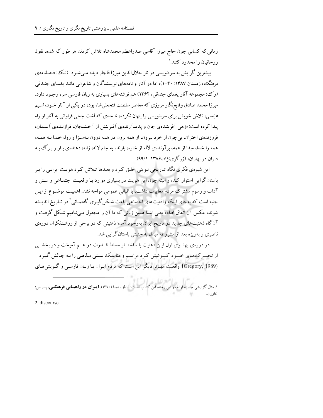زمانی که کسانی چون حاج میرزا آقاسی صدراعظم محمدشاه تلاش کردند هر طور که شده، نفوذ رو حانیان را محدود کنند.<sup>۱</sup>

بیشترین گرایش به سرەنویسی در نثر جلالالدین میرزا قاجار دیده مـی شـود (نـک، فـصلنامهي قرهنگ، زمستان ۱۳۸۷: ۴۰-۱)، اما در آثار و نامههای نویسندگان و شاعرانی مانند یغمـای جنـدقی (رک؛ مجموعه آثار یغمای جندقی، ۱۳۶۲) هم نوشتههای بسیاری به زبان فارسی سره وجـود دارد. میرزا محمد صادق وقایع;گار مروزی که معاصر سلطنت فتحعلی شاه بود، در یکی از آثار خـود، شـیم عب*اسی،* تلاش خویش برای سرهنویسی را پنهان نکرده، تا حدی که لغات جعلی فراوانی به آثار او راه پیدا کرده است: «زهی آفرینندهی جان و پدیدآرندهی آفرینش از آخشیجان، فرازنـدهی آسـمان، فروزندهي اختران، بي چون از خرد بيرون، از همه برون در همه درون بـهسـزا و روا، خـدا بـه همـه، همه را خدا، جدا از همه، بر آرندهي لاله از خاره، بارنده به جام لاله، ژاله، دهندهي بـار و بـرگ بـه داران در بهاران» (زرگری نژاد،۱۳۸۶: ۹۹/۱).

این شیوهی فکری نگاه تـاریخی نـوینی خلـق کـرد و بعـدها تـلاش کـرد هویـت ایرانـی را بـر باستانگرایی استوار کند، و البته چون این هویت در بسیاری موارد بـا واقعیـت اجتمـاعی و سـنن و آداب و رسوم مشترک مردم مغایرت داشت، با اقبالی عمومی مواجه نشد. اهمیت موضـوع از ایـن جنبه است که بهجای اینکه واقعیتهای اجتماعیی باعث شکل گیـری گفتمـانی `در تـاریخ اندیـشه شوند، عکس آن اتفاق افتاد، یعنی ابتدا همین زبانی که ما آن را مجعول مـیiمیم شـکل گرفـت و آنگاه ذهنیتهای جدید در تاریخ ایران بهوجود آمد؛ ذهنیتی که در برخی از روشـنفکران دورهی ناصری و بهویژه بعد از مشروطه مبدل به جنبش باستان گرایی شد.

در دورهی پهلـوی اول ایـن ذهنیت با ساختــار مسلط قــدرت در هــم آمیخت و در بخشــی از تحسرکههای خسود کسوشش کرد مراسم و مناسک سنتی مذهبی را بـه چـالش گیـرد (Gregory, 1989) واقعیت مهم تر دیگر این است که مردم ایـران بـا زبـان فارسـی و گــویش۵مـای

استخدار<br>۱. مثال گزارشی جانبدارانه در این زمینه، این کتـاب اسـ ت: ناطق، هما (۱۳۷۰). **ایـران در راهیـابی فرهنگـی**، پاریس: خاوران.

2. discourse.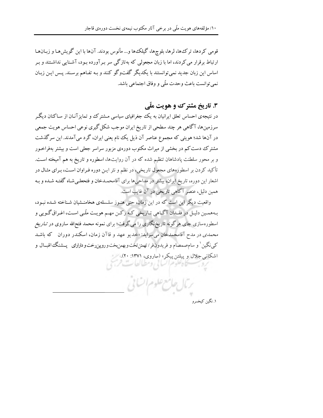قومی کردها، ترک\$ها، لرها، بلوچها، گیلکها و… مأنوس بودند. آنها با این گویش هـا و زبـانهـا ارتباط برقرار می کردند، اما با زبان مجعولی که بهتازگی سر بـرآورده بـود، آشـنایی نداشـتند و بـر اساس این زبان جدید نمی توانستند با یکدیگر گفتوگو کنند و بـه تفـاهم برسـند. پـس ایـن زبـان نمي توانست باعث وحدت ملَّى و وفاق اجتماعي باشد.

# ۳. تاریخ مشترک و هویت ملّی

در نتیجهی احساس تعلق ایرانیان به یک جغرافیای سیاسی مـشترک و تمایزآنـان از سـاکنان دیگـر سرزمینها، آگاهی هر چند سطحی از تاریخ ایران موجب شکل گیری نوعی احساس هویت جمعی در آنها شد؛ هویتی که مجموع عناصر آن ذیل یک نام یعنی ایران، گرد میآمدند. این سرگذشت مشترک دست کم در بخشی از میراث مکتوب دورهی مزبور سراسر جعلبی است و بیشتر بهفراخـور و بر محور سلطنت پادشاهان تنظیم شده که در آن روایتها، اسطوره و تاریخ به هم آمیخته است. تأکید کردن بر اسطورههای مجعول تاریخی، در نظم و نثر ایـن دوره فـراوان اسـت، بـرای مثـال در اشعار این دوره، تاریخ ایران، بیشتر در مداحیها برای آقامحمـدخان و فتحعلـیشـاه گفتـه شـده و بـه همین دلیل، عنصر آگاهی تاریخی در آن غایب است.

واقعیت دیگر این است که در این زمان، حتی هنـوز سلـسلهی هخامنـشیان شـناخته شـده نبـود، بـههمـین دلیـل در فقـدان آگـاهی تـاریخی کـه رکـن مهـم هویـت ملّـی اسـت، اغـراق گـویی و اسطورهسازی جای هرگونه تاریخنگاری را میگرفت؛ برای نمونه محمد فتح\لله ساروی در *تــاریخ* محم*دی* در مدح آقامحمدخان می سراید: «خدیو عهد و قاآن زمان، اسکندر دوران که باشـد کپينگين' و سام صمصام و فريدون فر/تهمتن تخت و بهمن پخت و رويين رخت و داراراي پيشنگ اقبسال و اشکانی جلال و پیلتن پیکر» (ساروی، ۱۳۷۱: ۲۰).

۱. نگمن کیخسرو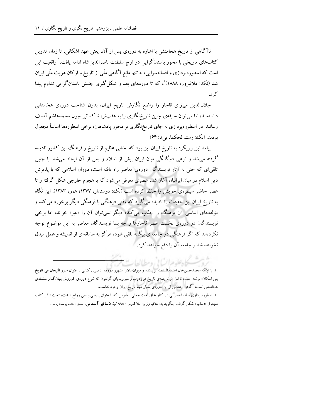ناآگاهی از تاریخ هخامنشی با اشاره به دورهی پس از آن، یعنی عهد اشکانی، تا زمان تدوین کتابهای تاریخی با محور باستانگرایی در اوج سلطنت ناصرالدینشاه ادامه یافت.' واقعیت این است که اسطوره پردازی و افسانهسرایی، نه تنها مانع آگاهی ملّی از تاریخ و ارکان هویت ملّی ایران شد (نک، ملافیروز، ۱۸۸۸) ْ، که تا دورههای بعد و شکل گیری جنبش باستانگرایی تداوم پیدا کړ د.

جلالالدین میرزای قاجار را واضع نگارش تاریخ ایران، بدون شناخت دورهی هخامنشی دانستهاند، اما می توان سابقهی چنین تاریخنگاری را به عقبتر، تا کسانی چون محمدهاشم آصف رسانید. در اسطورهپردازی به جای تاریخ;نگاری بر محور پادشاهان، برخی اسطورهها اساساً مجعول بودند. (نکت: رستم الحکما، بي تا: ۶۴)

پیامد این رویکرد به تاریخ ایران این بود که بخشی عظیم از تاریخ و فرهنگ این کشور نادیده گرفته می شد و نوعی دوگانگی میان ایران پیش از اسلام و پس از آن ایجاد می شد. با چنین تلقیای که حتی به آثار نویسندگان دورهی معاصر راه یافته است، دوران اسلامی که با پذیرش دین اسلام در میان ایرانیان آغاز شد، عصری معرفی میشود که با هجوم خارجی شکل گرفته و تا عصر حاضر سیطرهی خویش را حفظ کرده است (نک؛ دوستدار، ۱۳۷۷؛ همو، ۱۳۸۳). این نگاه به تاریخ ایران این حقیقت را نادیده میگیرد که وقتی فرهنگی با فرهنگی دیگر برخورد می کند و مؤلفههای اساسی آن فرهنگ<sup>ی</sup> را جذب میکند، دیگر نمیتوان آن را «غیر» خواند، اما برخی نویسندگان در دورهی نخست عصر قاجارها و چه بسا نویسندگان معاصر به این موضوع توجه نکردهاند که اگر فرهنگی در جامعهای بیگانه تلقی شود، هرگز به سامانهای از اندیشه و عمل مبدل نخواهد شد و جامعه آن را دفع خواهد کرد.

كادعلوم السابي ومطالعات

۱. با اینکه محمدحسنخان اعتمادالسلطنه نویسنده و دیوانسالار مشهور دورهی ناصری کتابی با عنوان «درر التیجان فی تاریخ بنبی اشکان، نوشته است، تا قبل از ترجمه ی تاریخ هرودوت و سیروپدیای گزنفون که شرح دوره یکوروش بنیان گذار سلسله ی هخامنشی است، آگاهی چندانی از این دورهی بسیار مهم تاریخ ایران وجود نداشت.

۲. اسطورهپردازی و افسانهسرایی در کنار خلق لغات جعلی نامأنوس که با عنوان پارسی،نویسی رواج داشت، تحت تأثیر کتاب مجعول «دساتیر» شکل گرفت. بنگرید به: ملافیروز بن ملاکاوس (۱۸۸۸م). **دساتیر آسمانی**، بمبئی: دت پرساد پرس.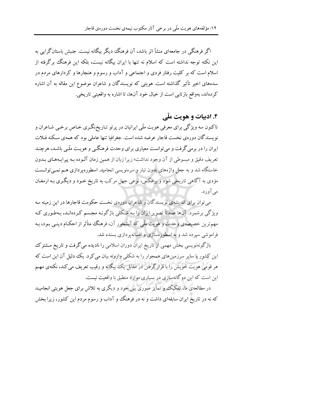اگر فرهنگی در جامعهای منشأ اثر باشد، آن فرهنگ دیگر بیگانه نیست. جنبش باستانگرایی به این نکته توجه نداشته است که اسلام نه تنها با ایران بیگانه نیست، بلکه این فرهنگ برگرفته از اسلام است که بر کلیت رفتار فردی و اجتماعی و آداب و رسوم و هنجارها و کردارهای مردم در سدههای اخیر تأثیر گذاشته است. هویتی که نویسندگان و شاعران موضوع این مقاله به آن اشاره کردهاند، بهواقع بازتابی است از خیال خود آنها، تا اشاره به واقعیتی تاریخی.

### ۴. ادبیات و هویت ملّی

تاکنون سه ویژگی برای معرفی هویت ملّی ایرانیان در پرتو تـاریخنگـری خـاص برخـی شـاعران و نویسندگان دورهی نخست قاجار عرضه شده است. جغرافیا تنها عاملی بود که همهی سکنه فـلات ایران را در برمی گرفت و می توانست معیاری برای وحدت فرهنگبی و هویت ملّبی باشـد، هرچنـد تعریف دقیق و مبسوطی از آن وجود نداشت؛ زیرا زبان از همین زمان آلـوده بـه پیرایـههـای بـدون خاستگاه شد و به جعل واژههای بدون تبار و سرهنویسی انجامید. اسطورهپردازی هـم نمـی توانـست مؤدي به آگاهي تاريخي شود و برعکس، نوعي جهل مرکب به تاريخ خـود و ديگـري بـه ارمغـان ميآورد.

می توان برای اندیشهی نویسندگان و شاعران دورهی نخست حکومت قاجارها در این زمینه سه ویژگی برشمرد. آنها عمدتاً تصویر ایران را بـه شـکلی باژگونـه مجـسم کـردهانـد، بـهطـوری کـه مهمترین خصیصهی وحدت و هویت ملّمی که آبشخور آن، فرهنگ متأثر از احکـام دینـی بـود، بـه فراموشی سپرده شد و به اسطورهسازی و افسانهپردازی بسنده شد.

باژگونهنویسی بخش مهمی از تاریخ ایران دوران اسلامی را نادیده میگرفت و تاریخ مشترک این کشور با سایر سرزمینهای همجوار را به شکلی وارونه بیان می کرد. یک دلیل آن این است که هر قومی هویت خویش را با قرارگرفتن در مقابل یک بیگانه و رقیب تعریف می کند، نکتهی مهـم این است که این دوگانهسازی در بسیاری موارد منطبق با واقعیت نیست.

در مطالعهی ما، تفکیک و تمایز صوری بین خود و دیگری به تلاش برای جعل هویتی انجامیـد که نه در تاریخ ایران سابقهای داشت و نه در فرهنگ و آداب و رسوم مردم این کشور، زیرا بخش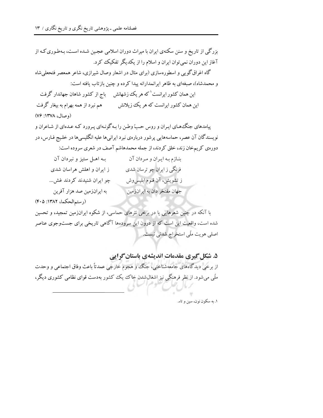بزرگی از تاریخ و سنن سکنهی ایران با میراث دوران اسلامی عجین شـده اسـت، بـهطـوری کـه از آغاز این دوران نمیتوان ایران و اسلام را از یکدیگر تفکیک کرد. گاه اغراق گویی و اسطورهسازی (برای مثال در اشعار وصال شیرازی، شاعر همعصر فتحعلی شاه و محمدشاه)، صبغهای به ظاهر ایرانمدارانه پیدا کرده و چنین بازتاب یافته است: این همان کشور ایرانست که هر یک زشهانش پاج از کشور شاهان جهاندار گرفت این همان کشور ایرانست که هر یک زیلانش مسلم مهم نبرد از همه بهرام به بیغار گرفت (وصال، ١٣٧٨: ٧۶)

پیامدهای جنگ های ایران و روس حبّ وطن را به گونـهای پـرورد کـه عـدهای از شـاعران و نویسندگان آن عصر، حماسههایی پرشور دربارهی نبرد ایرانیها علیه انگلیسیها در خلیج فـارس، در

دورهی کر یمخان زند، خلق کردند، از جمله محمدهاشم آصف در شعری سروده است:

| بـه اهــل ستيز و نبردان آن | بنـازم بـه ايـران و مـردان آن |
|----------------------------|-------------------------------|
| ز ایران و اهلش هراسان شدی  | فرنگی ز ایران چو ترسان شدی    |
| چو ایران شنیدند کردند غش   | ز تشویش، آن قـوم ابلیسوش      |
| به ایرانزمین صد هزار آفرین | جهان مفتخر دان به ايرانزمين   |

(رستم الحكما، ١٣٨٢: ۴٠۵)

با آنکه در چنین شعرهایی یا در برخی نثرهای حماسی، از شکوه ایرانزمین تمجید، و تحسین شده است، واقعیت این است که از درون این سرودهها آگاهی تاریخی برای جستوجوی عناصر اصلی هویت ملّی استخراج شدنی نیست.

۵. شکل گیری مقدمات اندیشهی باستان گرایی از برخی دیدگاههای جامعهشناختی، جنگ و هجوم خارجی عمدتاً باعث وفاق اجتماعی و وحدت ملّی میشود. از نظر فرهنگی نیز اشغال شدن خاک ییک کشور بهدست قوای نظامی کشوری دیگر،

١. په سکون نون، سين و تاء.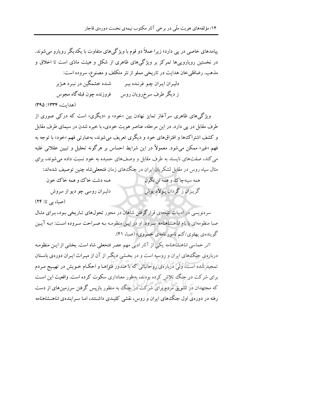پیامدهای خاصی در پی دارد؛ زیرا عملاً دو قوم با ویژگی های متفاوت با یکدیگر رویارو می شوند. در نخستین رویاروییها تمرکز بر ویژگیهای ظاهری از شکل و هیئت مادّی است تا اخلاق و مذهب. رضاقلي خان هدايت در تاريخي مملو از نثر متكلف و مصنوع، سروده است: دلیران ایران چو غرنـده ببر پیست شـده خشمگین در نبـرد هـژبر ز دیگر طرف سرخرویان روس فروزنده چون قبله گاه مجوس (هدايت، ١٣٣٤: ٣٩٥)

ویژگی های ظاهری سرآغاز تمایز نهادن بین «خود» و «دیگری» است که درکمی صوری از طرف مقابل در پی دارد. در این مرحله، عناصر هویت خودی، با خیره شدن در سیمای طرف مقابل و کشف اشتراک ها و افتراق های خود و دیگری تعریف می شوند، بهعبارتی فهم «خود» با توجه به فهم «غیر» ممکن می شود. معمولاً در این شرایط احساس بر هرگونه تحلیل و تبیین عقلانی غلبه می کند، صفتهای نایسند به طرف مقابل و وصفهای حمیده به خود نسبت داده می شوند، برای مثال سیاه روس در مقابل لشکر یان ایران در جنگ۱های زمان فتحعلی شاه چنین توصیف شدهاند: همه سينه چاک و همه تن نگون همه دشت خاک وو همه خاک خون گريـزان ز گردان يـولاد يوش دلیـران روسی چو دیو از سروش

(صبا، بي تا: ٢۴)

سرهنویسی در ادبیات نتیجهی قرارگرفتن شاهان در محور تحولهای تـاریخی بـود، بـرای مثـال صبا منظومهای با نام *شاهنشاهنامه* سرود. او در ایـن منظومـه بـه صـراحت سـروده اسـت: «بـه آیـین گوینده ی یهلوی/کنم نامور نامهی خسروی» (صبا، ۴۱).

*اثر حم*اسی *شاهنشاهنامه* یکی از آثار ادبی مهم عصر فتحعلی شاه است. بخشی از ایـن منظومـه دربارهی جنگههای ایران و روسیه است و در بخشی دیگر از آن از میـراث ایـران دورهی باسـتان تمجید شده است، ولی دربارهی روحانیانی که با صدور فتواهـا و احکـام خـویش در تهییج مـردم برای شرکت در جنگ تلاش کرده بودند، بهطور معناداری سکوت کرده است. واقعیت این است که مجتهدان در تشویق مردم برای شرکت در جنگ به منظور بازیس گرفتن سرزمین های از دست رفته در دورهی اول جنگ های ایران و روس، نقشی کلیـدی داشـتند، امـا سـرایندهی *شاهنــشاهنامه*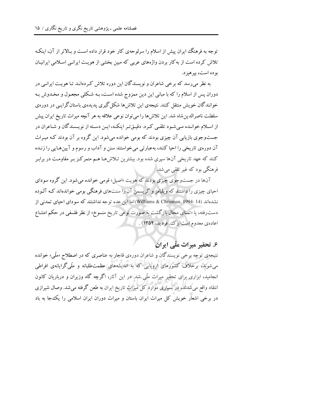توجه به فرهنگ ایران پیش از اسلام را سرلوحهی کار خود قرار داده است و بـالاتر از آن، اینکـه تلاش کرده است از به کار بردن واژههای عربی که مبین بخشی از هویت ایرانبی اسلامی ایرانیان بو ده است، پر هېز د.

به نظر میرسد که برخی شاعران و نویسندگان این دوره تلاش کردهانـد تـا هویـت ایرانـی در دوران پس از اسلام را که با مبانی این دین ممزوج شده است، بـه شـکلی مجعـول و مخـدوش بـه خوانندگان خویش منتقل کنند. نتیجهی این تلاش ها شکل گیری یدیدهی باستان گرایبی در دورهی سلطنت ناصرالدین شاه شد. این تلاش ها را می توان نوعی علاقه به هر آنچه میراث تاریخ ایران پیش از اسلام خوانـده مـی شـود تلقـی کـرد. دقیـقتـر اینکـه، ایـن دسـته از نویـسندگان و شـاعران در جستوجوی بازیابی آن چیزی بودند که بومی خوانده میشود. این گروه بر آن بودند کـه میـراث آن دورهي تاريخي را احيا كنند، بهعبارتي مي خواستند سنن و آداب و رسوم و آيين هـايي را زنـده کنند که عهد تاریخی آنها سپری شده بود. بیشترین تـلاشهـا هـم متمرکـز بـر مقاومـت در برابـر فرهنگی بود که غیر تلقی می شد.

آنها در جستوجوي چيزي بودند که هويت «اصيل» قومي خوانده مي شود. اين گروه سوداي احیای چیزی را داشتند که ویلیامز و کریسمن آن را سنتهای فرهنگی بومی خواندهاند کـه آلـوده نشدهاند (Williams & Chrisman, 1994: 14)اما این عده توجه نداشتند که سودای احیای تمدنی از دست رفته، یا «تمنای محال بازگشت به صورت نوعی تاریخ منسوخ» از نظر فلسفی در حکم امتنـاع اعادهي معدوم است(رک فرديد، ١٣٥٢) .

۶. تحقیر میراث ملّی ایران

نتیجه ی توجه برخی نویسندگان و شاعران دورهی قاجار به عناصری که در اصطلاح «ملّی» خوانده می شوند، برخلاف کشورهای اروپایی که به اندیشههای عظمتطلبانه و ملّی گرایانهی افراطی انجامید، ابزاری برای تحقیر میراث ملّی شد. در این آثار، اگرچه گاه وزیران و درباریان کانون انتقاد واقع میشدند، در بسیاری موارد کل میراث تاریخ ایران به طعن گرفته میشد. وصال شیرازی در برخی اشعار خویش کل میراث ایران باستان و میراث دوران ایران اسلامی را یک جا به باد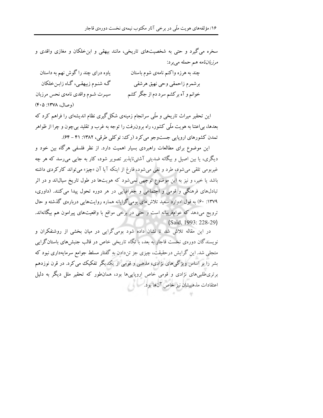سخره می گیرد و حتی به شخصیتهای تاریخی، مانند بیهقی و این خلکان و مغازی واقدی و مرزباننامه هم حمله میبرد:

| یاوه درای چند را گوش نهم به داستان | چند به هرزه واکنم نامهی شوم باستان |
|------------------------------------|------------------------------------|
| گه شنوم زبیهقی، گـاه زابـنخلكان    | برشمرم زاحمقي وحي نهيق هرشقي       |
| سيـرت شـوم واقدى نامهى نحس مرزبان  | خوانم و آه برکشم سرد دم از جگر کشم |
| (وصال، ۱۳۷۸: ۴۰۵)                  |                                    |

این تحقیر میراث تاریخی و ملّی سرانجام زمینهی شکل گیری نظام اندیشهای را فراهم کرد که بعدها، بی|عتنا به هویت ملّی کشور، راه برون٫فت را توجه به غرب و تقلید بیچون و چرا از ظواهر تمدن کشورهای اروپایی جستوجو می کرد (رک؛ توکلی طرقی، ۱۳۸۲: ۴۱ - ۶۴).

این موضوع برای مطالعات راهبردی بسیار اهمیت دارد. از نظر فلسفی هرگاه بین خود و دیگری، یا بین اصیل و بیگانه ضدیتی آشتی،ناپذیر تصویر شود، کار به جایی می٫رسد که هر چه غیربومی تلقی میشود، طرد و نفی میشود، فارغ از اینکه آیا آن «چیز» میتواند کارکردی داشته باشد یا خیر، و نیز به این موضوع توجهی نمیشود که هویتها در طول تاریخ سیال $اند و در اثر$ تبادلهای فرهنگی و قومی و اجتماعی و جغرافیایی در هر دوره تحول پیدا می کنند. (داوری، ۱۳۷۹: ۶۰) به قول ادوارد سعید تلاشهای بومیگرایانه هماره روایتهایی دربارهی گذشته و حال ترویج میدهد که عوامفریبانه است و حتی در برخی مواقع با واقعیتهای پیرامون هم بیگانهاند. (Said, 1993: 228-29)

در این مقاله تلاش شد تا نشان داده شود بومیگرایی در میان بخشی از روشنفکران و نویسندگان دورهی نخست قاجار به بعد، با نگاه تاریخی خاص در قالب جنبش های باستانگرایی متجلی شد. این گرایش درحقیقت، چیزی جز تن۱ددن به گفتار مسلط جوامع سرمایهداری نبود که بشر را بر اساس ویژگی های نژادی، مذهبی و قومی از یکدیگر تفکیک می کرد. در قرن نوزدهم برتری طلبیهای نژادی و قومی خاص اروپاییها بود، همان طور که تحقیر ملل دیگر به دلیل اعتقادات مذهبيشان نيز خاص آنها بود. المسمو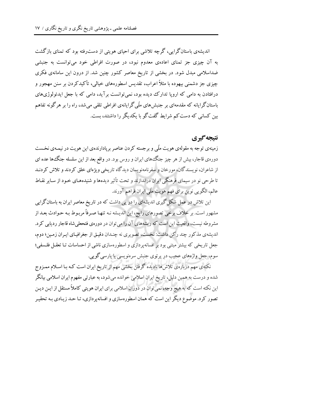اندیشهی باستانگرایی، گرچه تلاشی برای احیای هویتی از دست(فته بود که تمنای بازگشت به آن چیزی جز تمنای اعادهی معدوم نبود، در صورت افراطی خود میتوانست به جنبشی ضداسلامی مبدل شود. در بخشی از تاریخ معاصر کشور چنین شد. از درون این سامانهی فکری چیزی جز دشمنی بیهوده با مثلاً اعراب، تقدیس اسطورههای خیالی، تأکیدکردن بر سنن مهجور و درافتادن به دامی که اروپا تدارک دیده بود، نمی توانست بر آید، دامی که با جعل ایدئولوژیهای باستانگرایانه که مقدمهای بر جنبش های ملّبی گرایانهی افراطی تلقی می شد، راه را بر هرگونه تفاهم بین کسانی که دست کم شرایط گفتگو با یکدیگر را داشتند، بست.

## نتيجه گيري

زمینهی توجه به مقولهی هویت ملّی و برجسته کردن عناصر بریادارندهی این هویت در نیمـهی نخـست دورهی قاجار، بیش از هر چیز جنگ های ایران و روس بود. در واقع بعد از این سلسله جنگ ها عده ای از شاعران، نویسندگان، مورخان و سفرنامهنویسان دیدگاه تاریخی ویژهای خلق کردند و تلاش کردنـد تا طرحي نو در سيماي فرهنگي ايران دراندازند و تحت تأثير ديدهها و شنيدههـاي خـود از سـاير نقـاط عالم، الكويي نوين براي فهم هويت ملّى ايران فراهم آورند.

این تلاش در عمل شکل گیری اندیشهای را در پی داشت که در تاریخ معاصر ایران به باستانگرایی مشهور است. بر خلاف برخی تصورهای رایج، این اندیشه نـه تنهـا صـرفاً مربـوط بـه حـوادث بعـد از مشروطه نیست، واقعیت این است که ریشههای آن را می توان در دورهی فتحعلی شاه قاجار ردیابی کرد. اندیشهی مذکور چند رکن داشت: نخست، تصویری نه چندان دقیق از جغرافیای ایران زمین؛ دوم، جعل تاریخی که بیشتر مبتنی بود بر افسانهپردازی و اسطورهسازی ناشی از احساسات تـا تعقـل فلـسفی؛ سوم، جعل واژههاي عجيب در پرتوي جنبش سرهنويسي يا پارسي گويي.

نکتهی مهم دربارهی تلاش ها نادیده گرفتن بخشی مهم از تاریخ ایران است کـه بـا اسـلام ممـزوج شده و درست به همین دلیل، تاریخ ایران اسلامی خوانده میشود، به عبارتی مفهوم ایران اسلامی بیانگر این نکته است که به هیچ وجه، نمی توان در دوران اسلامی برای ایران هویتی کاملاً مستقل از ایـن دیـن تصور کرد. موضوع دیگر این است که همان اسطورهسازی و افسانهپردازی، تـا حـد زیـادی بـه تحقیـر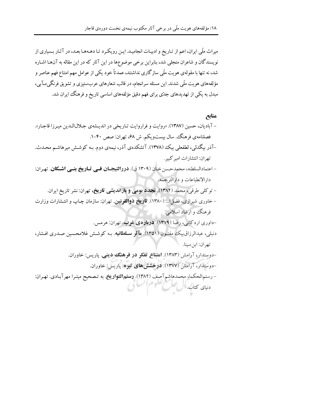میراث ملّی ایران، اعم از تـاریخ و ادبیـات انجامیـد. ایـن رویکـرد تـا دهـههـا بعـد، در آثـار بـسیاری از نویسندگان و شاعران متجلی شد، بنابراین برخی موضوعها در این آثار که در این مقاله به آنهـا اشـاره شد، نه تنها با مقولهي هويت ملَّى سازگاري نداشتند، عمدتاً خود يكي از عوامل مهم امتناع فهم عناصر و مؤلفههای هویت ملّی شدند. این مسئله سرانجام، در قالب شعارهای عربستیزی و تشویق فرنگی مـآبی، مبدل به یکی از تهدیدهای جدّی برای فهم دقیق مؤلفههای اساسی تاریخ و فرهنگ ایران شد.

#### منابع

- آباديان، حسين (١٣٨٧). «روايت و فراروايت تـاريخي در انديـشهي جـلالالـدين ميـرزا قاجـار». فصلنامهي فرهنگ، سال بيستويكم. ش ۶۸، تهران: صص ۴۰-۱.
- –آذر بیگدلی، لطفعلی بیک (۱۳۷۸). آتشکدهی آذر، نیمهی دوم بـه کوشـش میرهاشـم محـدث. تهران: انتشارات امير كبير.
- اعتمادالسلطنه، محمدحسن خـان (۱۳۰۹ ق). **دررالتيجـان فــي تــاريخ بنــي اشــكان**. تهـران: دارالانطباعات و دارالترجمه.
	- تو کلی طرقی، محمد (۱۳۸۲). **تجدد بومی و بازاندیشی تاریخ**، تهران: نشر تاریخ ایران.
- خاوری شیرازی، فضل ا... (۱۳۸۰). **تاریخ ذوالقرنین**. تهران: سازمان چـاپ و انتـشارات وزارت فرهنگ ووارشاد اسلامي.

-داوري اردكاني، رضا (١٣٧٩). دربارهي غرب. تهران: هرمس. دنبلی، عبدالرزاق بیک مفتـون (۱۳۵۱). ه**آثر سـلطانیه**. بـه کوشـش غلامحـسین صـدری افـشار، تهران: ابن سبنا.

- -دوستدار، آرامش (۱۳۸۳). **امتناع تفکر در فرهنگ دینی**. پاریس: خاوران.
	- -دوستدار، آرامش (۱۳۷۷). **درخشش های تیره**. یاریس: خاوران.
- رستمالحكما، محمدهاشم آصف (١٣٨٢). رستمالتواريخ. به تصحيح ميترا مهرآبادي. تهران: دنیای کتاب ا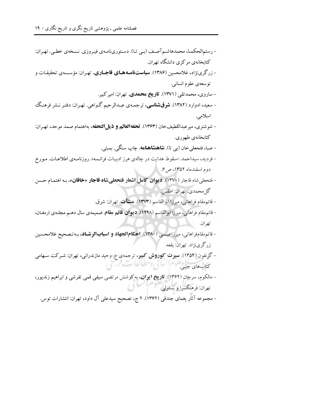- رستمالحکمـا، محمدهاشـم آصـف (بـي تـا). دسـتوريiامـهي فيـروزي. نـسخهي خطـي. تهـران: کتابخانهی مرکزی دانشگاه تهران. - زرگرینژاد، غلامحسین (۱۳۸۶). **سیاستنامـههـای قاجـاری.** تهـران: مؤسـسهی تحقیقـات و توسعهي علوم انساني. - ساروی، محمدتقی (۱۳۷۱). **تاریخ محمدی**. تهران: امیرکبیر. - سعید، ادوارد (۱۳۸۲). **شرقشناسی**، ترجمـهی عبـدالرحیم گـواهی. تهـران: دفتـر نـشر فرهنـگ اسلامى. - شوشتري، ميرعبداللطيفخان (١٣۶٣). تحفهالعالم و ذيلالتحفه، بهاهتمام صمد موحد، تهـران: كتابخانەي طهورى. – صبا، فتحعلي خان (بي تا). **شاهنشاهنامه**. چاپ سنگي. بمبئي. - فردید، سیداحمد. «سقوط هدایت در چالهی هرز ادبیـات فرانـسه». روزنامـهی اطلاعـات. مـورخ دوم اسفندماه ١٣۵٢، ص ۶. - فتحعلي شاه قاجار (١٣٧٠). ديوان كامل اشعار فتحعلي شاه قاجار «خاقان». بـه اهتمـام حـسن گل محمدي. تهران: اطلس. - قائم مقام فراهانی، میرزا ابوالقاسم (۱۳۷۳). ه**نشآت**. تهران: شرق. - قائم مقام فراهاني، ميرزا ابوالقاسم (١٢٩٨). ديوان قائم مقام. ضميمه ي سال دهـم مجلـه ي ارمغـان، تهران. - قائم مقام فراهانی، میرزاعیسی (۱۳۸۰). **احکام الجهاد و اسباب الرشـاد**، بـه تـصحیح غلامحـسین زرگريiژاد. تهران: بقعه. - گزنفون (۱۳۵۴). **سیرت کوروش کبیر**، ترجمهی ع. وحید مازندرانی، تهران: شـرکت سـهامی كتابهاي جيبي. – مالکوم، سرجان (۱۳۶۲). **تاریخ ایوان**، به کوشش مرتضی سیفی قمی تفرشی و ابراهیم زندپور، تهران: فرهنگسرا و پساولمي. – مجموعه آثار یغمای جندقی (۱۳۶۲). ۲ ج، تصحیح سیدعلی آل داود، تهران: انتشارات توس.